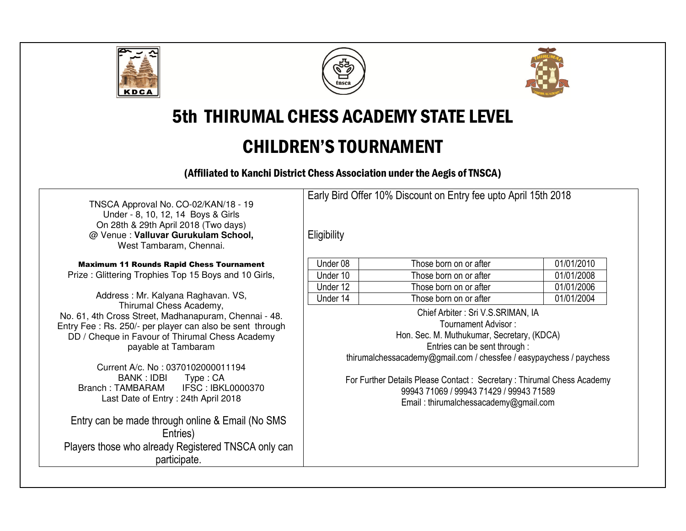





5th THIRUMAL CHESS ACADEMY STATE LEVEL

# CHILDREN'S TOURNAMENT

(Affiliated to Kanchi District Chess Association under the Aegis of TNSCA)

TNSCA Approval No. CO-02/KAN/18 - 19 Under - 8, 10, 12, 14 Boys & Girls On 28th & 29th April 2018 (Two days) @ Venue : **Valluvar Gurukulam School,** West Tambaram, Chennai.

Maximum 11 Rounds Rapid Chess Tournament Prize : Glittering Trophies Top 15 Boys and 10 Girls,

Address : Mr. Kalyana Raghavan. VS, Thirumal Chess Academy, No. 61, 4th Cross Street, Madhanapuram, Chennai - 48. Entry Fee : Rs. 250/- per player can also be sent through DD / Cheque in Favour of Thirumal Chess Academy payable at Tambaram

Current A/c. No : 0370102000011194 BANK : IDBI Type : CA **IFSC: IBKL0000370** Branch : TAMBARAM Last Date of Entry : 24th April 2018

Entry can be made through online & Email (No SMS Entries) Players those who already Registered TNSCA only canparticipate.

Early Bird Offer 10% Discount on Entry fee upto April 15th 2018

**Eligibility** 

| Under 08 | Those born on or after | 01/01/2010 |
|----------|------------------------|------------|
| Under 10 | Those born on or after | 01/01/2008 |
| Under 12 | Those born on or after | 01/01/2006 |
| Under 14 | Those born on or after | 01/01/2004 |

Chief Arbiter : Sri V.S.SRIMAN, IA Tournament Advisor : Hon. Sec. M. Muthukumar, Secretary, (KDCA) Entries can be sent through : thirumalchessacademy@gmail.com / chessfee / easypaychess / paychess

For Further Details Please Contact : Secretary : Thirumal Chess Academy 99943 71069 / 99943 71429 / 99943 71589 Email : thirumalchessacademy@gmail.com